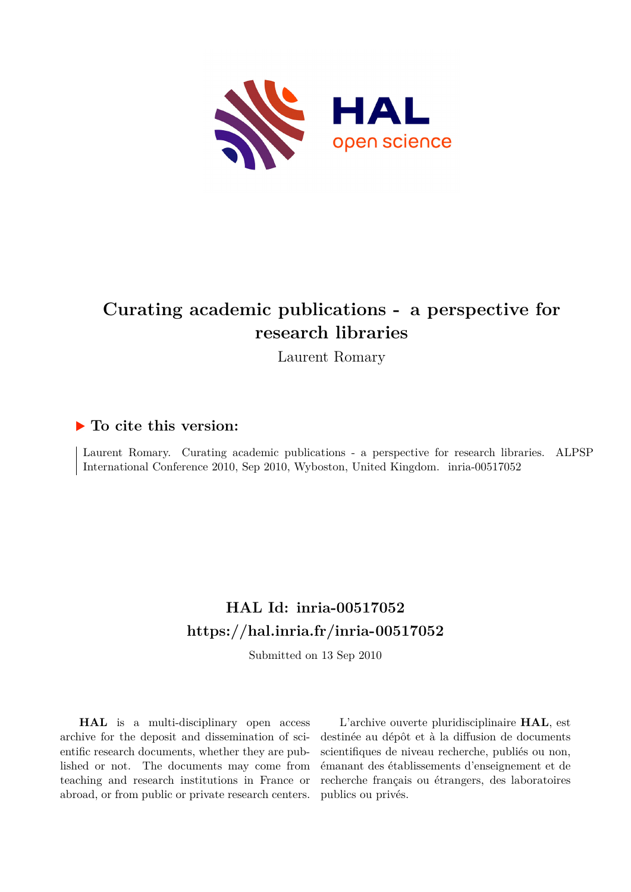

#### **Curating academic publications - a perspective for research libraries**

Laurent Romary

#### **To cite this version:**

Laurent Romary. Curating academic publications - a perspective for research libraries. ALPSP International Conference 2010, Sep 2010, Wyboston, United Kingdom. inria-00517052

#### **HAL Id: inria-00517052 <https://hal.inria.fr/inria-00517052>**

Submitted on 13 Sep 2010

**HAL** is a multi-disciplinary open access archive for the deposit and dissemination of scientific research documents, whether they are published or not. The documents may come from teaching and research institutions in France or abroad, or from public or private research centers.

L'archive ouverte pluridisciplinaire **HAL**, est destinée au dépôt et à la diffusion de documents scientifiques de niveau recherche, publiés ou non, émanant des établissements d'enseignement et de recherche français ou étrangers, des laboratoires publics ou privés.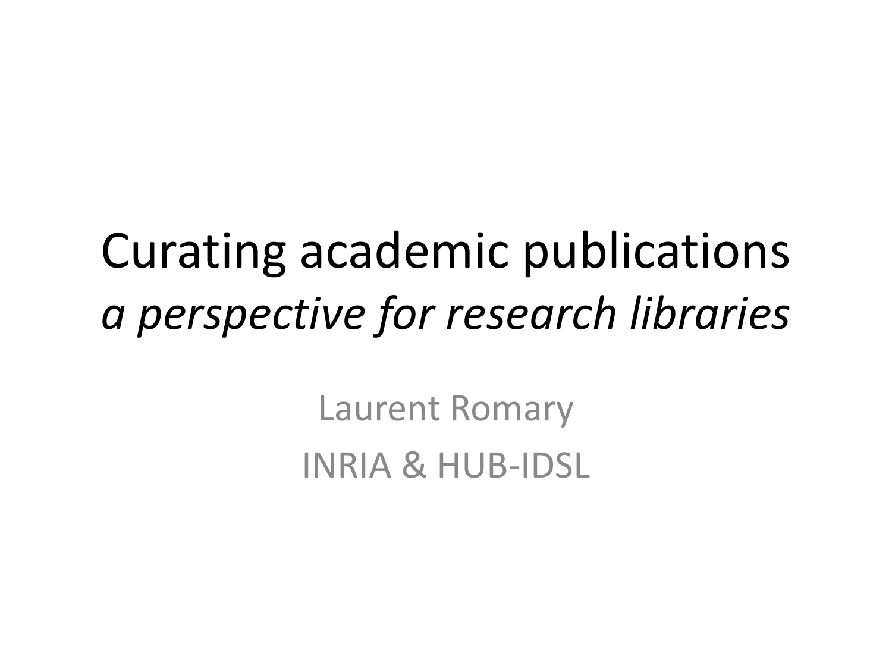### Curating academic publications *a perspective for research libraries*

Laurent Romary INRIA & HUB-IDSL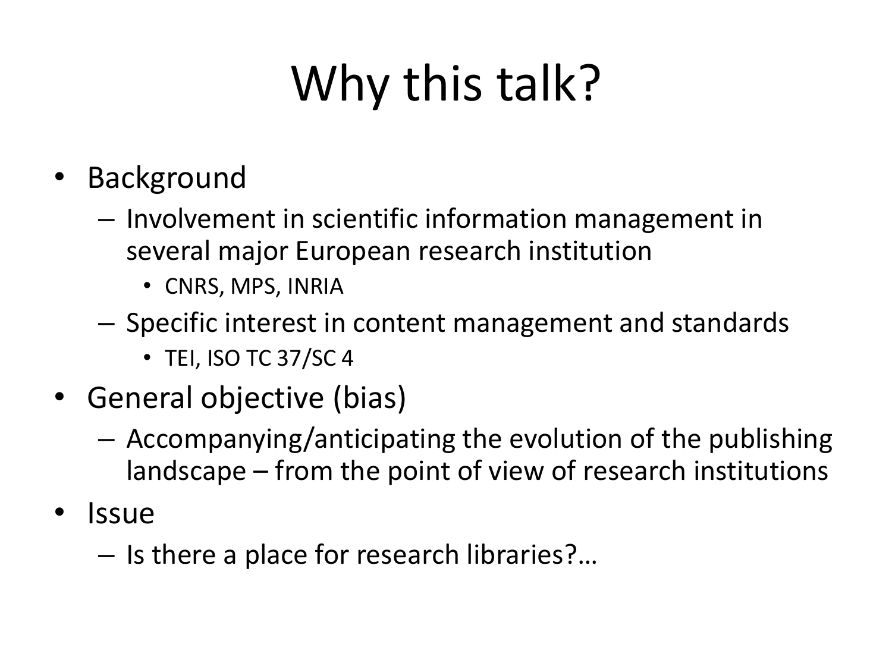# Why this talk?

- Background
	- Involvement in scientific information management in several major European research institution
		- CNRS, MPS, INRIA
	- Specific interest in content management and standards
		- TEI, ISO TC 37/SC 4
- General objective (bias)
	- Accompanying/anticipating the evolution of the publishing landscape – from the point of view of research institutions
- Issue
	- Is there a place for research libraries?…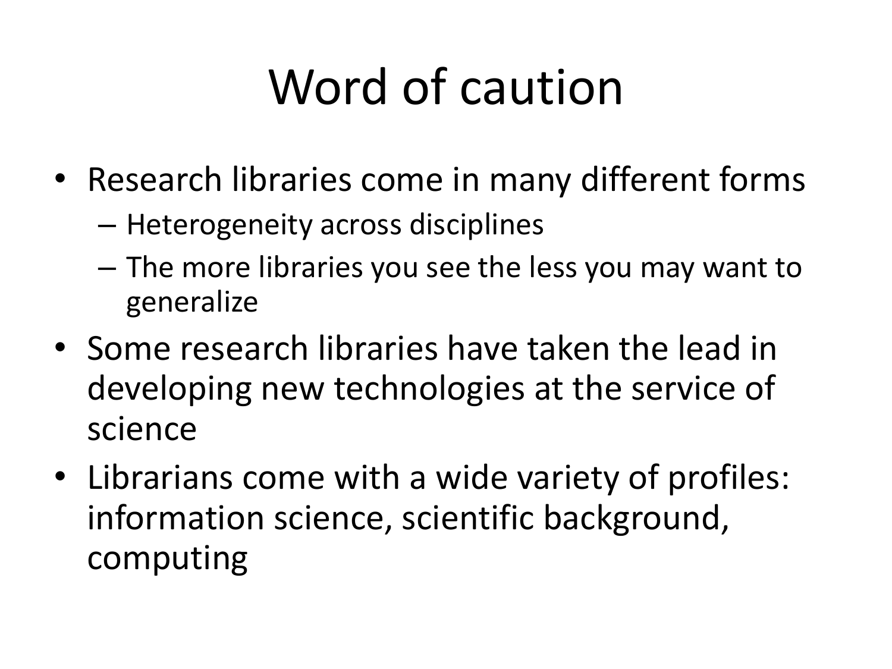# Word of caution

- Research libraries come in many different forms
	- Heterogeneity across disciplines
	- The more libraries you see the less you may want to generalize
- Some research libraries have taken the lead in developing new technologies at the service of science
- Librarians come with a wide variety of profiles: information science, scientific background, computing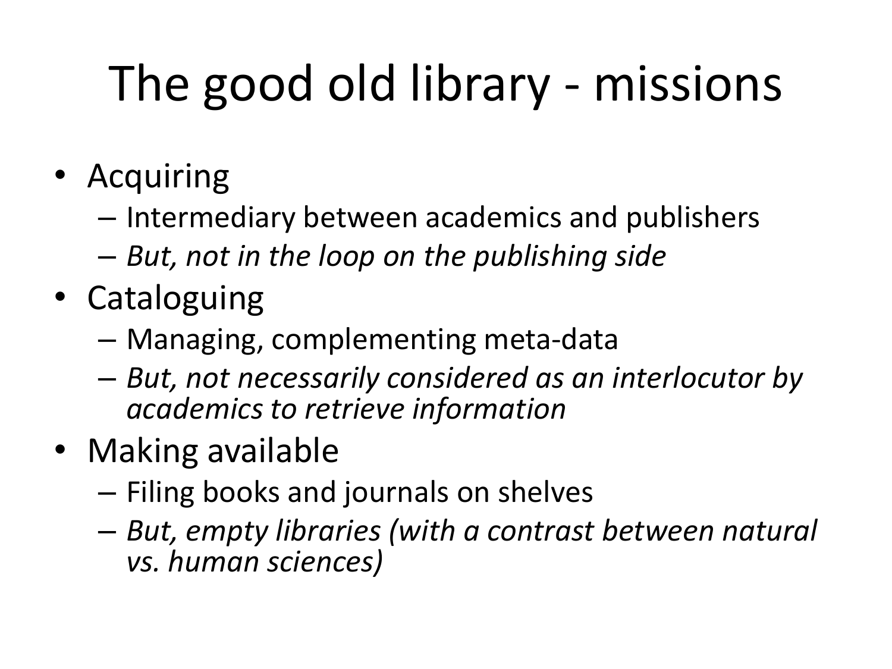# The good old library - missions

- Acquiring
	- Intermediary between academics and publishers
	- *But, not in the loop on the publishing side*
- Cataloguing
	- Managing, complementing meta-data
	- *But, not necessarily considered as an interlocutor by academics to retrieve information*
- Making available
	- Filing books and journals on shelves
	- *But, empty libraries (with a contrast between natural vs. human sciences)*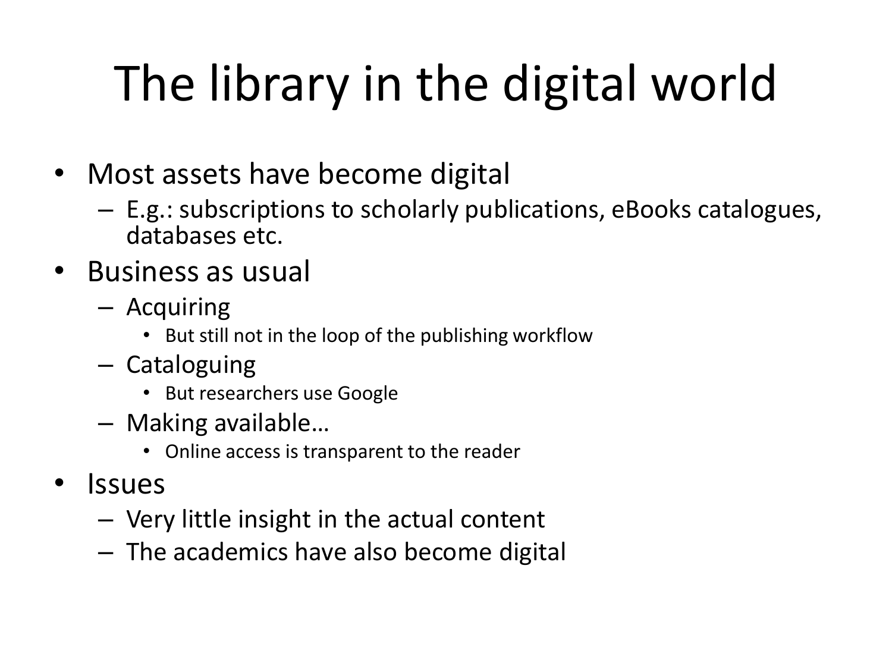# The library in the digital world

- Most assets have become digital
	- E.g.: subscriptions to scholarly publications, eBooks catalogues, databases etc.
- Business as usual
	- Acquiring
		- But still not in the loop of the publishing workflow
	- Cataloguing
		- But researchers use Google
	- Making available…
		- Online access is transparent to the reader
- **Issues** 
	- Very little insight in the actual content
	- The academics have also become digital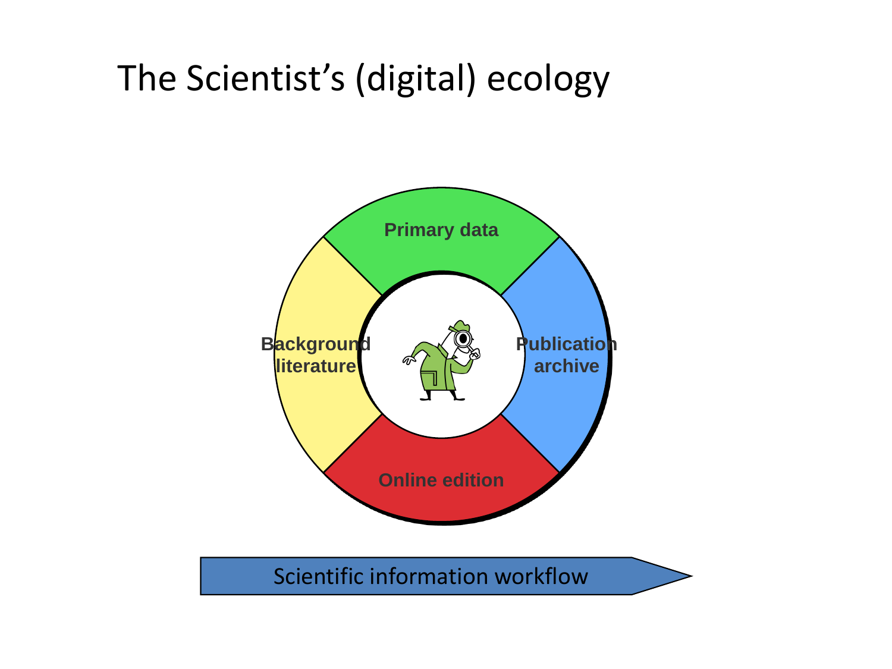#### The Scientist's (digital) ecology



Scientific information workflow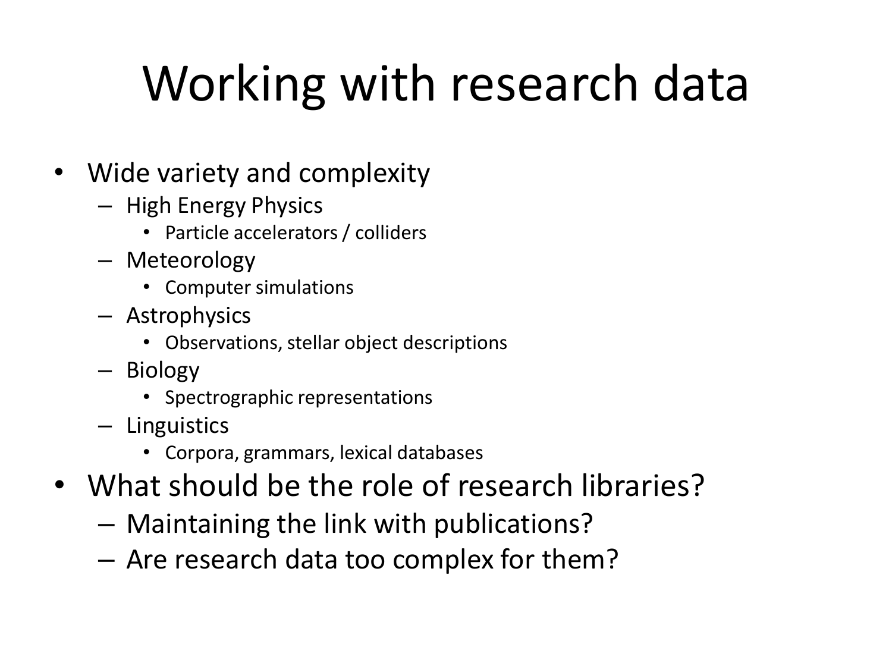# Working with research data

- Wide variety and complexity
	- High Energy Physics
		- Particle accelerators / colliders
	- Meteorology
		- Computer simulations
	- Astrophysics
		- Observations, stellar object descriptions
	- Biology
		- Spectrographic representations
	- Linguistics
		- Corpora, grammars, lexical databases
- What should be the role of research libraries?
	- Maintaining the link with publications?
	- Are research data too complex for them?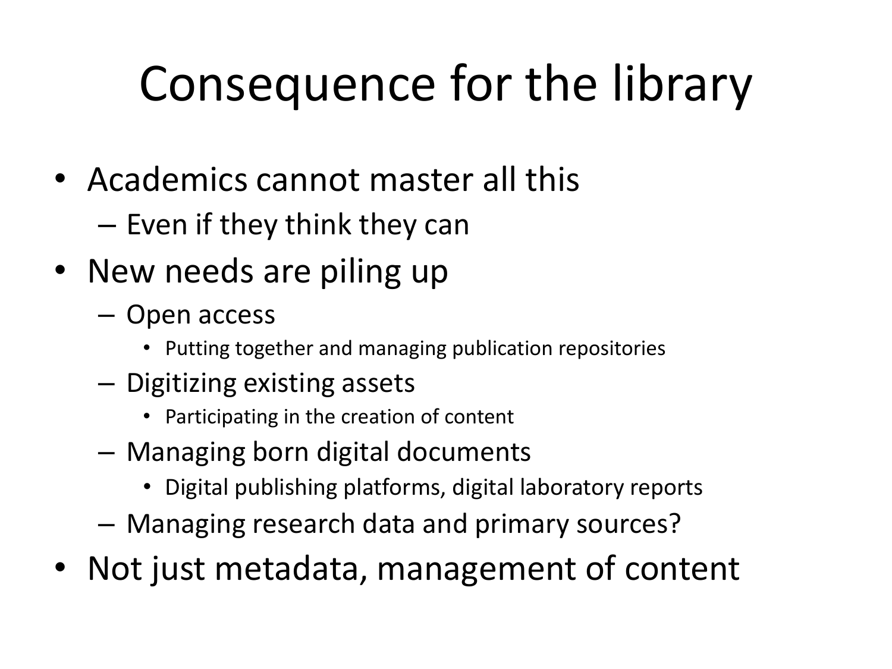# Consequence for the library

- Academics cannot master all this
	- Even if they think they can
- New needs are piling up
	- Open access
		- Putting together and managing publication repositories
	- Digitizing existing assets
		- Participating in the creation of content
	- Managing born digital documents
		- Digital publishing platforms, digital laboratory reports
	- Managing research data and primary sources?
- Not just metadata, management of content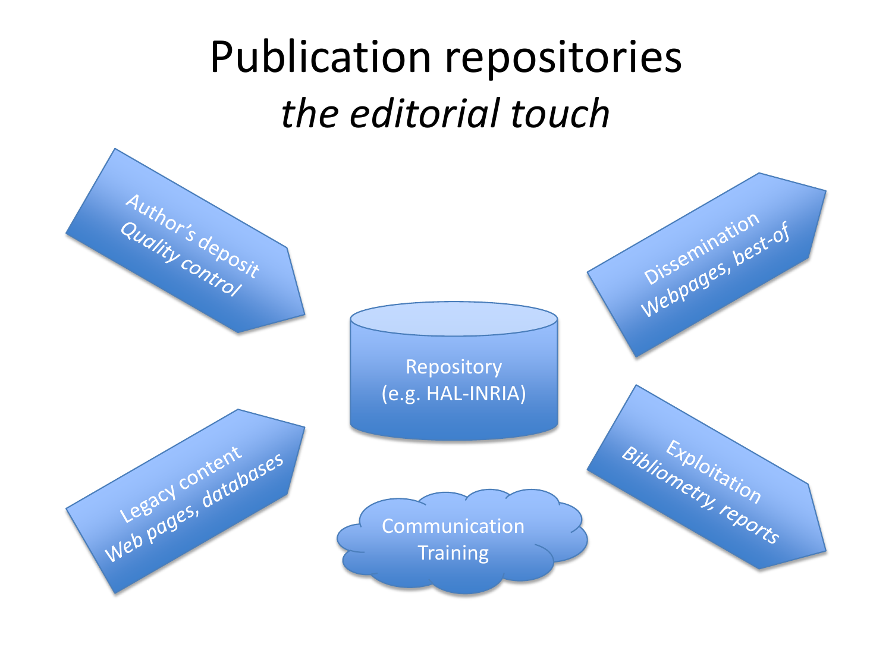### Publication repositories *the editorial touch*

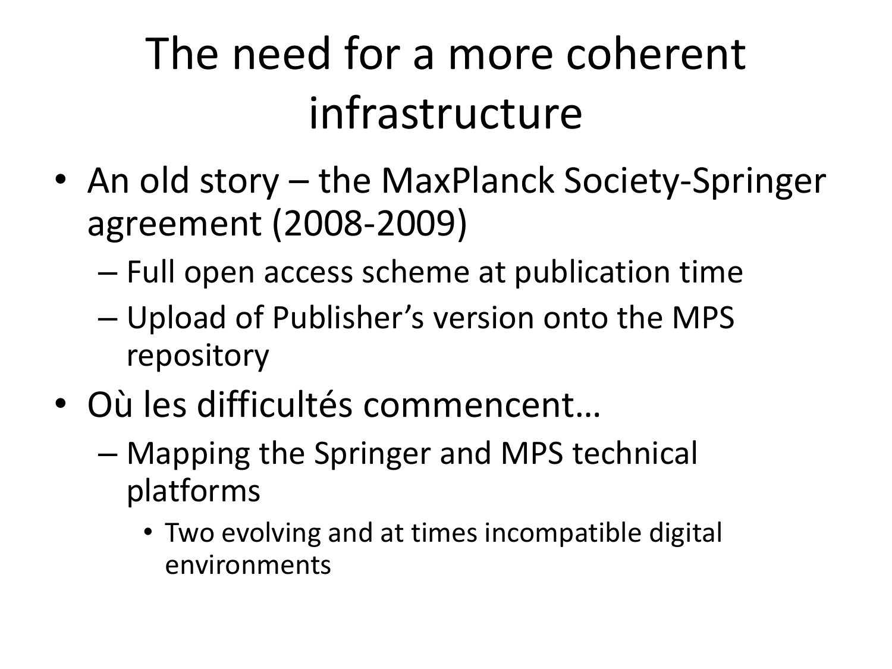## The need for a more coherent infrastructure

- An old story the MaxPlanck Society-Springer agreement (2008-2009)
	- Full open access scheme at publication time
	- Upload of Publisher's version onto the MPS repository
- Où les difficultés commencent…
	- Mapping the Springer and MPS technical platforms
		- Two evolving and at times incompatible digital environments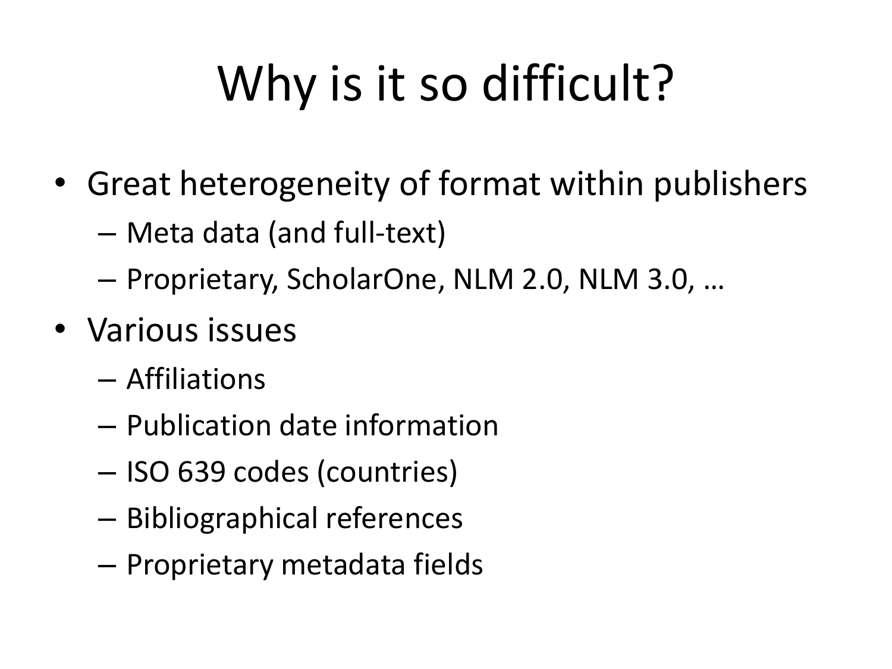# Why is it so difficult?

- Great heterogeneity of format within publishers
	- Meta data (and full-text)
	- Proprietary, ScholarOne, NLM 2.0, NLM 3.0, …
- Various issues
	- Affiliations
	- Publication date information
	- ISO 639 codes (countries)
	- Bibliographical references
	- Proprietary metadata fields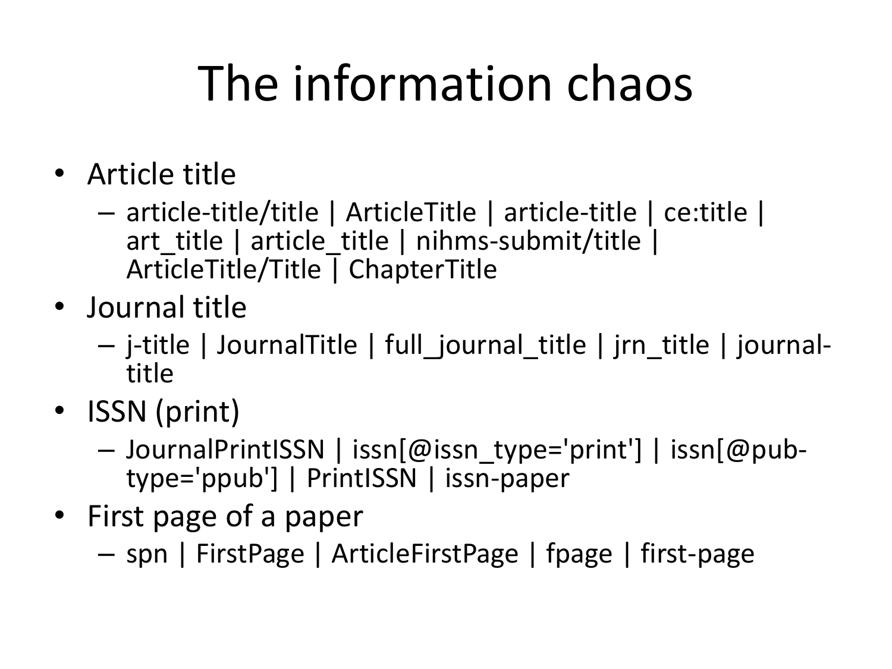# The information chaos

- Article title
	- article-title/title | ArticleTitle | article-title | ce:title | art title | article title | nihms-submit/title | ArticleTitle/Title | ChapterTitle
- Journal title
	- j-title | JournalTitle | full\_journal\_title | jrn\_title | journaltitle
- ISSN (print)
	- JournalPrintISSN | issn[@issn\_type='print'] | issn[@pubtype='ppub'] | PrintISSN | issn-paper
- First page of a paper
	- spn | FirstPage | ArticleFirstPage | fpage | first-page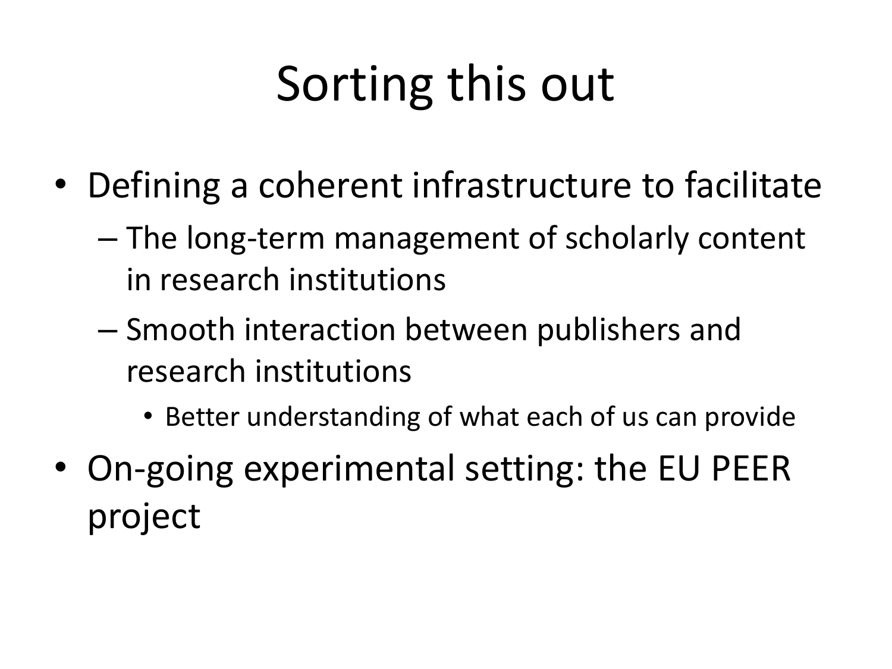# Sorting this out

- Defining a coherent infrastructure to facilitate
	- The long-term management of scholarly content in research institutions
	- Smooth interaction between publishers and research institutions
		- Better understanding of what each of us can provide
- On-going experimental setting: the EU PEER project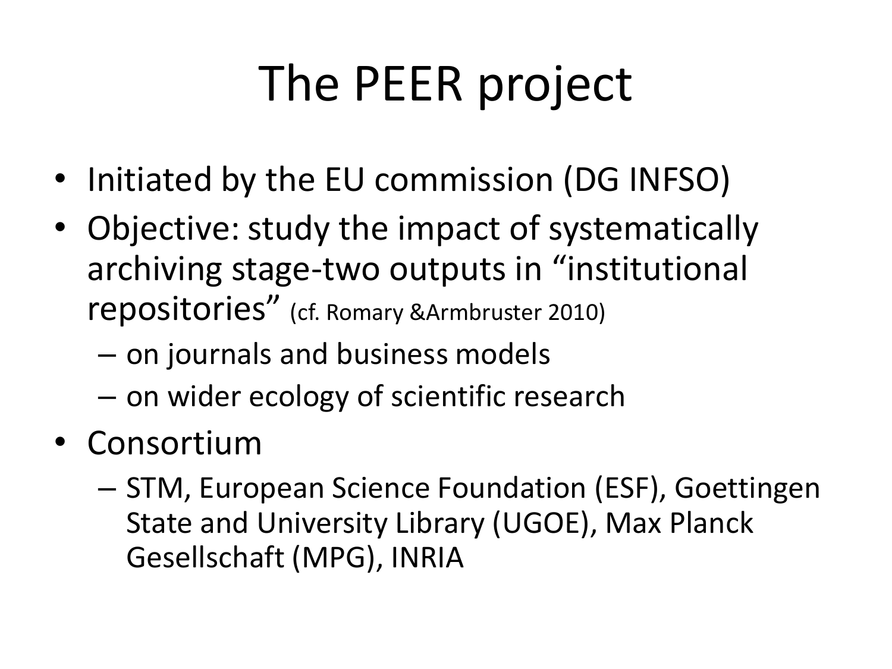# The PEER project

- Initiated by the EU commission (DG INFSO)
- Objective: study the impact of systematically archiving stage-two outputs in "institutional repositories" (cf. Romary &Armbruster 2010)
	- on journals and business models
	- on wider ecology of scientific research
- Consortium
	- STM, European Science Foundation (ESF), Goettingen State and University Library (UGOE), Max Planck Gesellschaft (MPG), INRIA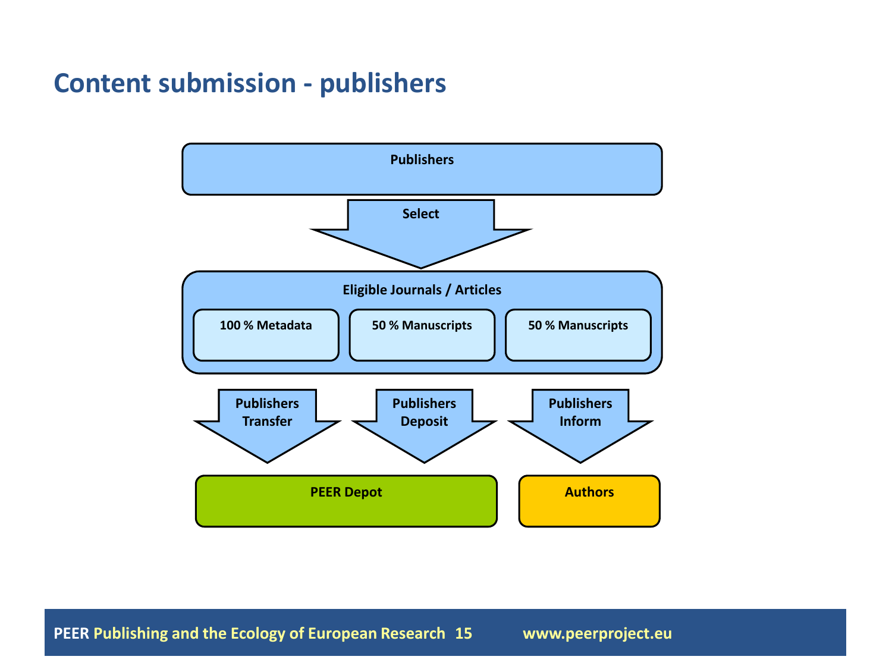#### **Content submission - publishers**



**PEER Publishing and the Ecology of European Research 15 www.peerproject.eu**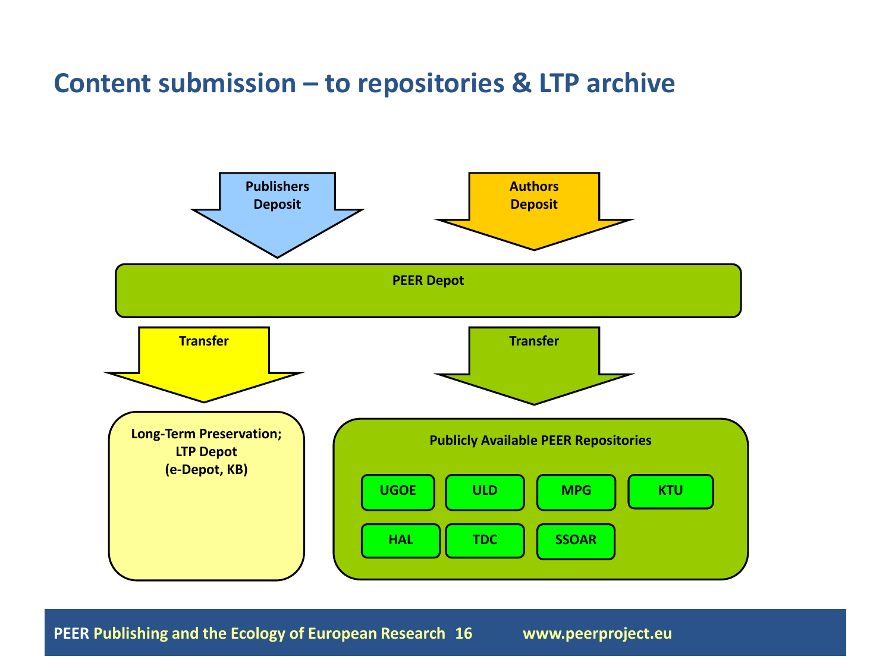#### **Content submission – to repositories & LTP archive**



**PEER Publishing and the Ecology of European Research 16 www.peerproject.eu**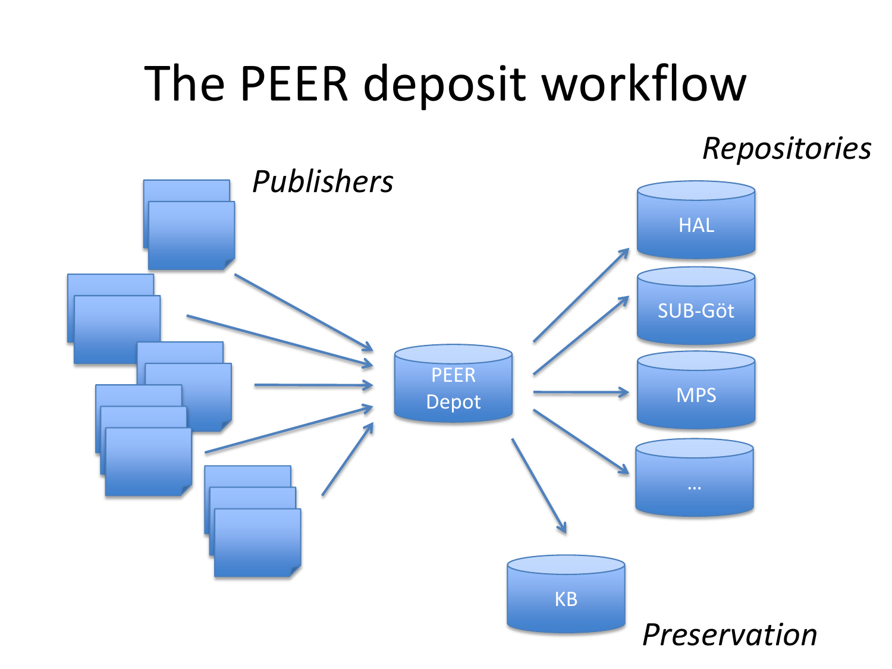## The PEER deposit workflow

HAL SUB-Göt MPS … PEER Depot KB *Publishers Repositories Preservation*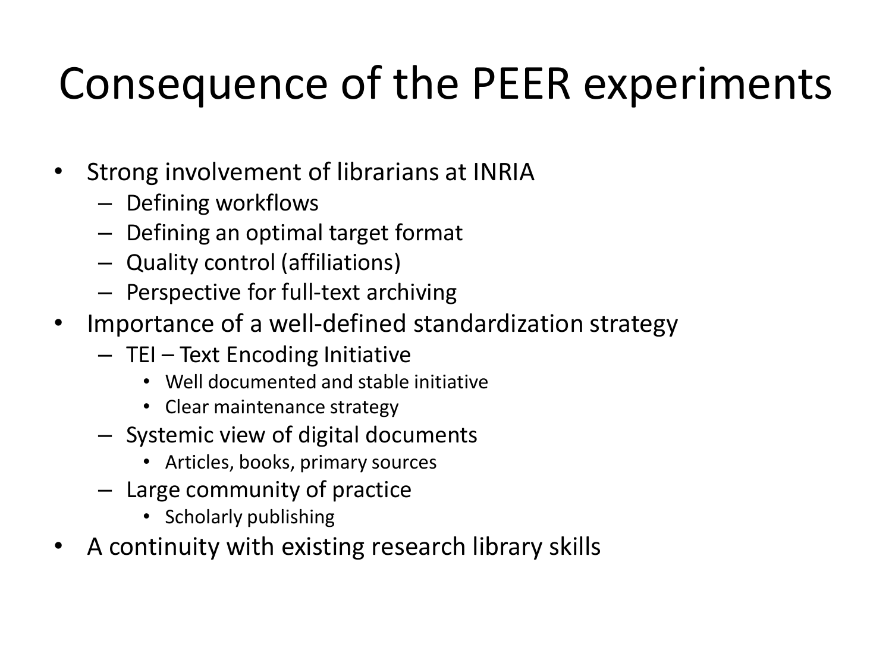### Consequence of the PEER experiments

- Strong involvement of librarians at INRIA
	- Defining workflows
	- Defining an optimal target format
	- Quality control (affiliations)
	- Perspective for full-text archiving
- Importance of a well-defined standardization strategy
	- TEI Text Encoding Initiative
		- Well documented and stable initiative
		- Clear maintenance strategy
	- Systemic view of digital documents
		- Articles, books, primary sources
	- Large community of practice
		- Scholarly publishing
- A continuity with existing research library skills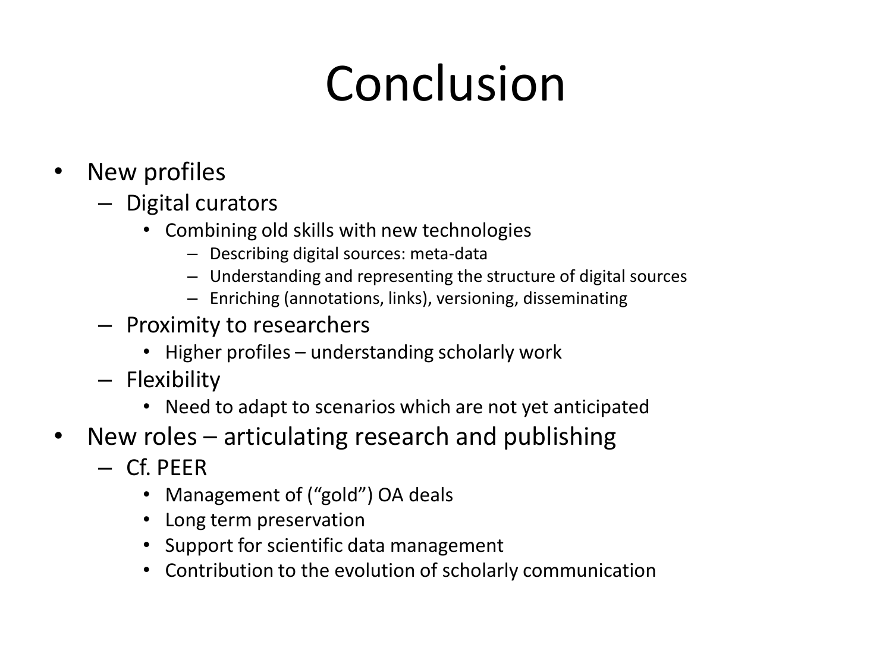# Conclusion

- New profiles
	- Digital curators
		- Combining old skills with new technologies
			- Describing digital sources: meta-data
			- Understanding and representing the structure of digital sources
			- Enriching (annotations, links), versioning, disseminating
	- Proximity to researchers
		- Higher profiles understanding scholarly work
	- Flexibility
		- Need to adapt to scenarios which are not yet anticipated
- New roles articulating research and publishing
	- Cf. PEER
		- Management of ("gold") OA deals
		- Long term preservation
		- Support for scientific data management
		- Contribution to the evolution of scholarly communication